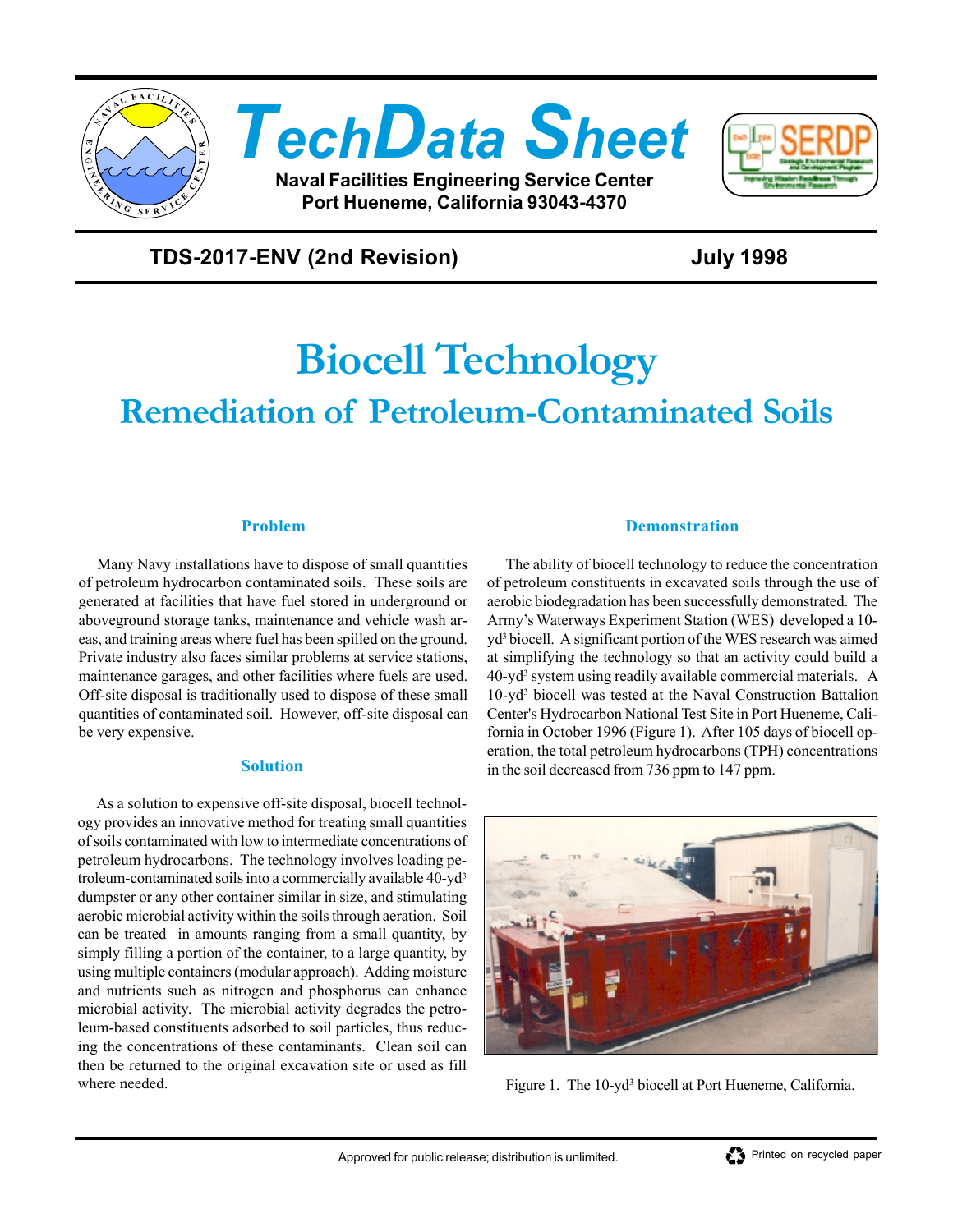

# *TechData Sheet*

**Naval Facilities Engineering Service Center Port Hueneme, California 93043-4370**



### **TDS-2017-ENV (2nd Revision) July 1998**

## *Biocell Technology Remediation of Petroleum-Contaminated Soils*

#### **Problem**

Many Navy installations have to dispose of small quantities of petroleum hydrocarbon contaminated soils. These soils are generated at facilities that have fuel stored in underground or aboveground storage tanks, maintenance and vehicle wash areas, and training areas where fuel has been spilled on the ground. Private industry also faces similar problems at service stations, maintenance garages, and other facilities where fuels are used. Off-site disposal is traditionally used to dispose of these small quantities of contaminated soil. However, off-site disposal can be very expensive.

#### **Solution**

As a solution to expensive off-site disposal, biocell technology provides an innovative method for treating small quantities of soils contaminated with low to intermediate concentrations of petroleum hydrocarbons. The technology involves loading petroleum-contaminated soils into a commercially available 40-yd3 dumpster or any other container similar in size, and stimulating aerobic microbial activity within the soils through aeration. Soil can be treated in amounts ranging from a small quantity, by simply filling a portion of the container, to a large quantity, by using multiple containers (modular approach). Adding moisture and nutrients such as nitrogen and phosphorus can enhance microbial activity. The microbial activity degrades the petroleum-based constituents adsorbed to soil particles, thus reducing the concentrations of these contaminants. Clean soil can then be returned to the original excavation site or used as fill where needed.

#### **Demonstration**

The ability of biocell technology to reduce the concentration of petroleum constituents in excavated soils through the use of aerobic biodegradation has been successfully demonstrated. The Army's Waterways Experiment Station (WES) developed a 10 yd3 biocell. A significant portion of the WES research was aimed at simplifying the technology so that an activity could build a 40-yd3 system using readily available commercial materials. A 10-yd3 biocell was tested at the Naval Construction Battalion Center's Hydrocarbon National Test Site in Port Hueneme, California in October 1996 (Figure 1). After 105 days of biocell operation, the total petroleum hydrocarbons (TPH) concentrations in the soil decreased from 736 ppm to 147 ppm.



Figure 1. The 10-yd<sup>3</sup> biocell at Port Hueneme, California.